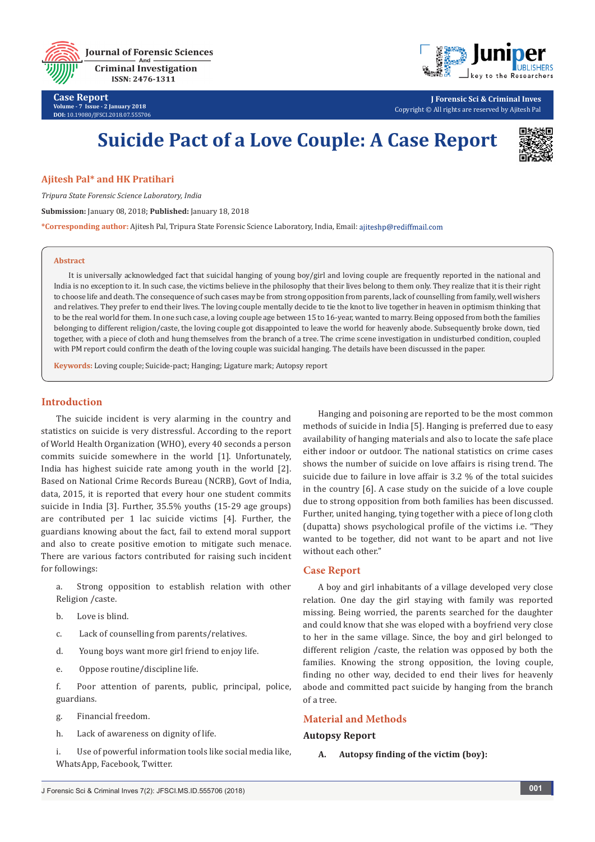





**J Forensic Sci & Criminal Inves** Copyright © All rights are reserved by Ajitesh Pal

# **Suicide Pact of a Love Couple: A Case Report**



# **Ajitesh Pal\* and HK Pratihari**

*Tripura State Forensic Science Laboratory, India*

**Submission:** January 08, 2018; **Published:** January 18, 2018

**\*Corresponding author:** Ajitesh Pal, Tripura State Forensic Science Laboratory, India, Email:

#### **Abstract**

It is universally acknowledged fact that suicidal hanging of young boy/girl and loving couple are frequently reported in the national and India is no exception to it. In such case, the victims believe in the philosophy that their lives belong to them only. They realize that it is their right to choose life and death. The consequence of such cases may be from strong opposition from parents, lack of counselling from family, well wishers and relatives. They prefer to end their lives. The loving couple mentally decide to tie the knot to live together in heaven in optimism thinking that to be the real world for them. In one such case, a loving couple age between 15 to 16-year, wanted to marry. Being opposed from both the families belonging to different religion/caste, the loving couple got disappointed to leave the world for heavenly abode. Subsequently broke down, tied together, with a piece of cloth and hung themselves from the branch of a tree. The crime scene investigation in undisturbed condition, coupled with PM report could confirm the death of the loving couple was suicidal hanging. The details have been discussed in the paper.

**Keywords:** Loving couple; Suicide-pact; Hanging; Ligature mark; Autopsy report

# **Introduction**

The suicide incident is very alarming in the country and statistics on suicide is very distressful. According to the report of World Health Organization (WHO), every 40 seconds a person commits suicide somewhere in the world [1]. Unfortunately, India has highest suicide rate among youth in the world [2]. Based on National Crime Records Bureau (NCRB), Govt of India, data, 2015, it is reported that every hour one student commits suicide in India [3]. Further, 35.5% youths (15-29 age groups) are contributed per 1 lac suicide victims [4]. Further, the guardians knowing about the fact, fail to extend moral support and also to create positive emotion to mitigate such menace. There are various factors contributed for raising such incident for followings:

a. Strong opposition to establish relation with other Religion /caste.

- b. Love is blind.
- c. Lack of counselling from parents/relatives.
- d. Young boys want more girl friend to enjoy life.
- e. Oppose routine/discipline life.

f. Poor attention of parents, public, principal, police, guardians.

- g. Financial freedom.
- h. Lack of awareness on dignity of life.

i. Use of powerful information tools like social media like, WhatsApp, Facebook, Twitter.

Hanging and poisoning are reported to be the most common methods of suicide in India [5]. Hanging is preferred due to easy availability of hanging materials and also to locate the safe place either indoor or outdoor. The national statistics on crime cases shows the number of suicide on love affairs is rising trend. The suicide due to failure in love affair is 3.2 % of the total suicides in the country [6]. A case study on the suicide of a love couple due to strong opposition from both families has been discussed. Further, united hanging, tying together with a piece of long cloth (dupatta) shows psychological profile of the victims i.e. "They wanted to be together, did not want to be apart and not live without each other."

## **Case Report**

A boy and girl inhabitants of a village developed very close relation. One day the girl staying with family was reported missing. Being worried, the parents searched for the daughter and could know that she was eloped with a boyfriend very close to her in the same village. Since, the boy and girl belonged to different religion /caste, the relation was opposed by both the families. Knowing the strong opposition, the loving couple, finding no other way, decided to end their lives for heavenly abode and committed pact suicide by hanging from the branch of a tree.

## **Material and Methods**

## **Autopsy Report**

**A. Autopsy finding of the victim (boy):**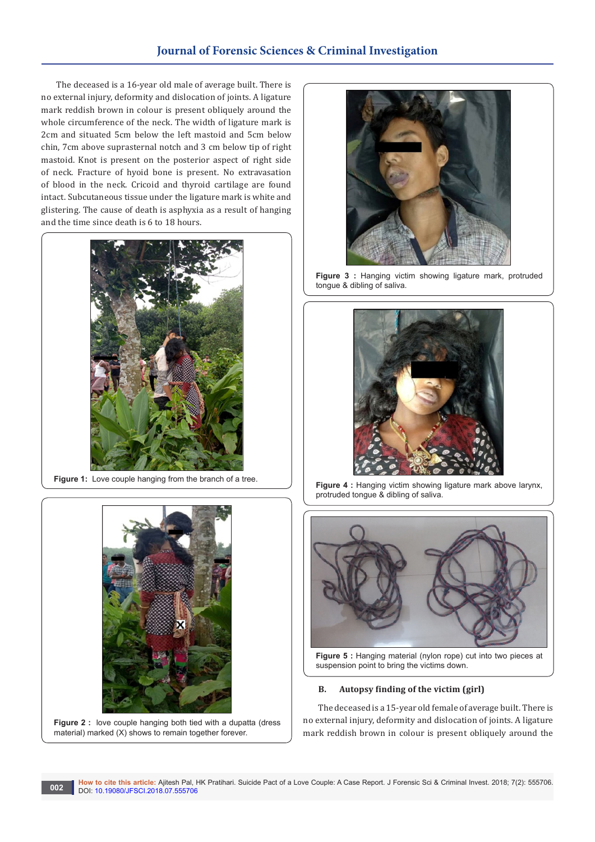# **Journal of Forensic Sciences & Criminal Investigation**

The deceased is a 16-year old male of average built. There is no external injury, deformity and dislocation of joints. A ligature mark reddish brown in colour is present obliquely around the whole circumference of the neck. The width of ligature mark is 2cm and situated 5cm below the left mastoid and 5cm below chin, 7cm above suprasternal notch and 3 cm below tip of right mastoid. Knot is present on the posterior aspect of right side of neck. Fracture of hyoid bone is present. No extravasation of blood in the neck. Cricoid and thyroid cartilage are found intact. Subcutaneous tissue under the ligature mark is white and glistering. The cause of death is asphyxia as a result of hanging and the time since death is 6 to 18 hours.



**Figure 1:** Love couple hanging from the branch of a tree.



Figure 2 : love couple hanging both tied with a dupatta (dress material) marked (X) shows to remain together forever.



Figure 3 : Hanging victim showing ligature mark, protruded tongue & dibling of saliva.



**Figure 4 : Hanging victim showing ligature mark above larynx,** protruded tongue & dibling of saliva.



**Figure 5 :** Hanging material (nylon rope) cut into two pieces at suspension point to bring the victims down.

### **B. Autopsy finding of the victim (girl)**

The deceased is a 15-year old female of average built. There is no external injury, deformity and dislocation of joints. A ligature mark reddish brown in colour is present obliquely around the